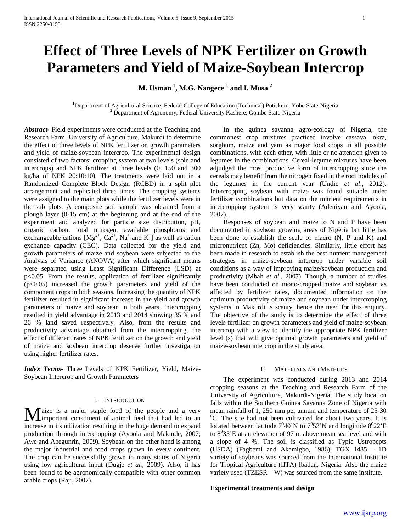# **Effect of Three Levels of NPK Fertilizer on Growth Parameters and Yield of Maize-Soybean Intercrop**

**M. Usman <sup>1</sup> , M.G. Nangere <sup>1</sup> and I. Musa <sup>2</sup>**

<sup>1</sup>Department of Agricultural Science, Federal College of Education (Technical) Potiskum, Yobe State-Nigeria<sup>2</sup> Department of Agronomy, Federal University Kashere, Gombe State-Nigeria

*Abstract***-** Field experiments were conducted at the Teaching and Research Farm, University of Agriculture, Makurdi to determine the effect of three levels of NPK fertilizer on growth parameters and yield of maize-soybean intercrop. The experimental design consisted of two factors: cropping system at two levels (sole and intercrops) and NPK fertilizer at three levels (0, 150 and 300 kg/ha of NPK 20:10:10). The treatments were laid out in a Randomized Complete Block Design (RCBD) in a split plot arrangement and replicated three times. The cropping systems were assigned to the main plots while the fertilizer levels were in the sub plots. A composite soil sample was obtained from a plough layer (0-15 cm) at the beginning and at the end of the experiment and analyzed for particle size distribution, pH, organic carbon, total nitrogen, available phosphorus and exchangeable cations  $[Mg^{2+}, Ca^{2+}, Na^+$  and  $K^+]$  as well as cation exchange capacity (CEC). Data collected for the yield and growth parameters of maize and soybean were subjected to the Analysis of Variance (ANOVA) after which significant means were separated using Least Significant Difference (LSD) at p<0.05. From the results, application of fertilizer significantly  $(p<0.05)$  increased the growth parameters and yield of the component crops in both seasons. Increasing the quantity of NPK fertilizer resulted in significant increase in the yield and growth parameters of maize and soybean in both years. Intercropping resulted in yield advantage in 2013 and 2014 showing 35 % and 26 % land saved respectively. Also, from the results and productivity advantage obtained from the intercropping, the effect of different rates of NPK fertilizer on the growth and yield of maize and soybean intercrop deserve further investigation using higher fertilizer rates.

*Index Terms*- Three Levels of NPK Fertilizer, Yield, Maize-Soybean Intercrop and Growth Parameters

## I. INTRODUCTION

aize is a major staple food of the people and a very Important constituent of animal feed that had led to an **M** aize is a major staple food of the people and a very important constituent of animal feed that had led to an increase in its utilization resulting in the huge demand to expand production through intercropping (Ayoola and Makinde, 2007; Awe and Abegunrin, 2009). Soybean on the other hand is among the major industrial and food crops grown in every continent. The crop can be successfully grown in many states of Nigeria using low agricultural input (Dugje *et al.,* 2009). Also, it has been found to be agronomically compatible with other common arable crops (Raji, 2007).

 In the guinea savanna agro-ecology of Nigeria, the commonest crop mixtures practiced involve cassava, okra, sorghum, maize and yam as major food crops in all possible combinations, with each other, with little or no attention given to legumes in the combinations. Cereal-legume mixtures have been adjudged the most productive form of intercropping since the cereals may benefit from the nitrogen fixed in the root nodules of the legumes in the current year (Undie *et al*., 2012). Intercropping soybean with maize was found suitable under fertilizer combinations but data on the nutrient requirements in intercropping system is very scanty (Adeniyan and Ayoola, 2007).

 Responses of soybean and maize to N and P have been documented in soybean growing areas of Nigeria but little has been done to establish the scale of macro (N, P and K) and micronutrient (Zn, Mo) deficiencies. Similarly, little effort has been made in research to establish the best nutrient management strategies in maize-soybean intercrop under variable soil conditions as a way of improving maize/soybean production and productivity (Mbah *et al.,* 2007). Though, a number of studies have been conducted on mono-cropped maize and soybean as affected by fertilizer rates, documented information on the optimum productivity of maize and soybean under intercropping systems in Makurdi is scanty, hence the need for this enquiry. The objective of the study is to determine the effect of three levels fertilizer on growth parameters and yield of maize-soybean intercrop with a view to identify the appropriate NPK fertilizer level (s) that will give optimal growth parameters and yield of maize-soybean intercrop in the study area.

# II. MATERIALS AND METHODS

 The experiment was conducted during 2013 and 2014 cropping seasons at the Teaching and Research Farm of the University of Agriculture, Makurdi-Nigeria. The study location falls within the Southern Guinea Savanna Zone of Nigeria with mean rainfall of  $1, 250$  mm per annum and temperature of  $25-30$  ${}^{0}C$ . The site had not been cultivated for about two years. It is located between latitude  $7^0 40'$ N to  $7^0 53'$ N and longitude  $8^0 22'$ E to  $8^035$ 'E at an elevation of 97 m above mean sea level and with a slope of 4 %. The soil is classified as Typic Ustropepts (USDA) (Fagbemi and Akamigbo, 1986). TGX 1485 – 1D variety of soybeans was sourced from the International Institute for Tropical Agriculture (IITA) Ibadan, Nigeria. Also the maize variety used (TZESR – W) was sourced from the same institute.

# **Experimental treatments and design**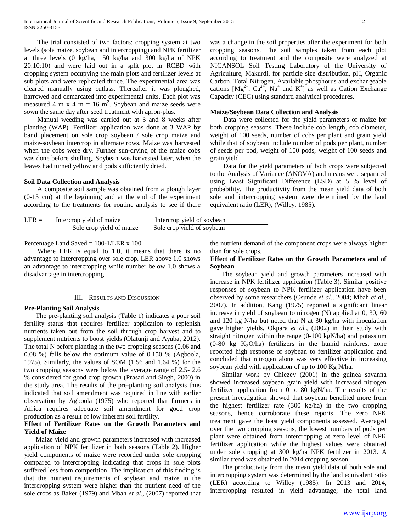The trial consisted of two factors: cropping system at two levels (sole maize, soybean and intercropping) and NPK fertilizer at three levels (0 kg/ha, 150 kg/ha and 300 kg/ha of NPK 20:10:10) and were laid out in a split plot in RCBD with cropping system occupying the main plots and fertilizer levels at sub plots and were replicated thrice. The experimental area was cleared manually using cutlass. Thereafter it was ploughed, harrowed and demarcated into experimental units. Each plot was measured 4 m x 4 m = 16 m<sup>2</sup>. Soybean and maize seeds were sown the same day after seed treatment with apron-plus.

 Manual weeding was carried out at 3 and 8 weeks after planting (WAP). Fertilizer application was done at 3 WAP by band placement on sole crop soybean / sole crop maize and maize-soybean intercrop in alternate rows. Maize was harvested when the cobs were dry. Further sun-drying of the maize cobs was done before shelling. Soybean was harvested later, when the leaves had turned yellow and pods sufficiently dried.

## **Soil Data Collection and Analysis**

 A composite soil sample was obtained from a plough layer (0-15 cm) at the beginning and at the end of the experiment according to the treatments for routine analysis to see if there

| $LER =$ | Intercrop yield of maize | Intercrop yield of soybean              |  |
|---------|--------------------------|-----------------------------------------|--|
|         | Sole crop yield of maize | $\overline{Sole}$ drop yield of soybean |  |

# Percentage Land Saved = 100-1/LER x 100

 Where LER is equal to 1.0, it means that there is no advantage to intercropping over sole crop. LER above 1.0 shows an advantage to intercropping while number below 1.0 shows a disadvantage in intercropping.

#### III. RESULTS AND DISCUSSION

### **Pre-Planting Soil Analysis**

 The pre-planting soil analysis (Table 1) indicates a poor soil fertility status that requires fertilizer application to replenish nutrients taken out from the soil through crop harvest and to supplement nutrients to boost yields (Olatunji and Ayuba, 2012). The total N before planting in the two cropping seasons (0.06 and 0.08 %) falls below the optimum value of 0.150 % (Agboola, 1975). Similarly, the values of SOM (1.56 and 1.64 %) for the two cropping seasons were below the average range of 2.5- 2.6 % considered for good crop growth (Prasad and Singh, 2000) in the study area. The results of the pre-planting soil analysis thus indicated that soil amendment was required in line with earlier observation by Agboola (1975) who reported that farmers in Africa requires adequate soil amendment for good crop production as a result of low inherent soil fertility.

# **Effect of Fertilizer Rates on the Growth Parameters and Yield of Maize**

 Maize yield and growth parameters increased with increased application of NPK fertilizer in both seasons (Table 2). Higher yield components of maize were recorded under sole cropping compared to intercropping indicating that crops in sole plots suffered less from competition. The implication of this finding is that the nutrient requirements of soybean and maize in the intercropping system were higher than the nutrient need of the sole crops as Baker (1979) and Mbah *et al.,* (2007) reported that

was a change in the soil properties after the experiment for both cropping seasons. The soil samples taken from each plot according to treatment and the composite were analyzed at NICANSOL Soil Testing Laboratory of the University of Agriculture, Makurdi, for particle size distribution, pH, Organic Carbon, Total Nitrogen, Available phosphorus and exchangeable cations  $[Mg^{2+}, Ca^{2+}, Na^+$  and  $K^+]$  as well as Cation Exchange Capacity (CEC) using standard analytical procedures.

# **Maize/Soybean Data Collection and Analysis**

 Data were collected for the yield parameters of maize for both cropping seasons. These include cob length, cob diameter, weight of 100 seeds, number of cobs per plant and grain yield while that of soybean include number of pods per plant, number of seeds per pod, weight of 100 pods, weight of 100 seeds and grain yield.

 Data for the yield parameters of both crops were subjected to the Analysis of Variance (ANOVA) and means were separated using Least Significant Difference (LSD) at 5 % level of probability. The productivity from the mean yield data of both sole and intercropping system were determined by the land equivalent ratio (LER), (Willey, 1985).

the nutrient demand of the component crops were always higher than for sole crops.

# **Effect of Fertilizer Rates on the Growth Parameters and of Soybean**

 The soybean yield and growth parameters increased with increase in NPK fertilizer application (Table 3). Similar positive responses of soybean to NPK fertilizer application have been observed by some researchers (Osunde *et al.,* 2004; Mbah *et al.,* 2007). In addition, Kang (1975) reported a significant linear increase in yield of soybean to nitrogen (N) applied at 0, 30, 60 and 120 kg N/ha but noted that N at 30 kg/ha with inoculation gave higher yields. Okpara *et al.,* (2002) in their study with straight nitrogen within the range (0-100 kgN/ha) and potassium  $(0-80 \text{ kg } K_2\text{O/ha})$  fertilizers in the humid rainforest zone reported high response of soybean to fertilizer application and concluded that nitrogen alone was very effective in increasing soybean yield with application of up to 100 Kg N/ha.

 Similar work by Chiezey (2001) in the guinea savanna showed increased soybean grain yield with increased nitrogen fertilizer application from 0 to 80 kgN/ha. The results of the present investigation showed that soybean benefited more from the highest fertilizer rate (300 kg/ha) in the two cropping seasons, hence corroborate these reports. The zero NPK treatment gave the least yield components assessed. Averaged over the two cropping seasons, the lowest numbers of pods per plant were obtained from intercropping at zero level of NPK fertilizer application while the highest values were obtained under sole cropping at 300 kg/ha NPK fertilizer in 2013. A similar trend was obtained in 2014 cropping season.

 The productivity from the mean yield data of both sole and intercropping system was determined by the land equivalent ratio (LER) according to Willey (1985). In 2013 and 2014, intercropping resulted in yield advantage; the total land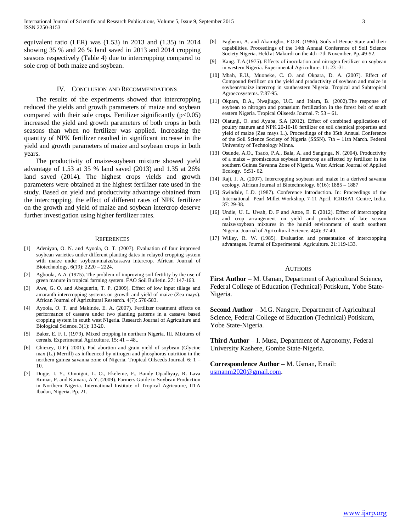equivalent ratio (LER) was (1.53) in 2013 and (1.35) in 2014 showing 35 % and 26 % land saved in 2013 and 2014 cropping seasons respectively (Table 4) due to intercropping compared to sole crop of both maize and soybean.

## IV. CONCLUSION AND RECOMMENDATIONS

 The results of the experiments showed that intercropping reduced the yields and growth parameters of maize and soybean compared with their sole crops. Fertilizer significantly  $(p<0.05)$ increased the yield and growth parameters of both crops in both seasons than when no fertilizer was applied. Increasing the quantity of NPK fertilizer resulted in significant increase in the yield and growth parameters of maize and soybean crops in both years.

 The productivity of maize-soybean mixture showed yield advantage of 1.53 at 35 % land saved (2013) and 1.35 at 26% land saved (2014). The highest crops yields and growth parameters were obtained at the highest fertilizer rate used in the study. Based on yield and productivity advantage obtained from the intercropping, the effect of different rates of NPK fertilizer on the growth and yield of maize and soybean intercrop deserve further investigation using higher fertilizer rates.

#### **REFERENCES**

- [1] Adeniyan, O. N. and Ayoola, O. T. (2007). Evaluation of four improved soybean varieties under different planting dates in relayed cropping system with maize under soybean/maize/cassava intercrop. African Journal of Biotechnology. 6(19): 2220 – 2224.
- [2] Agboola, A.A. (1975). The problem of improving soil fertility by the use of green manure in tropical farming system. FAO Soil Bulletin. 27: 147-163.
- [3] Awe, G. O. and Abegunrin, T. P. (2009). Effect of low input tillage and amaranth intercropping systems on growth and yield of maize (Zea mays). African Journal of Agricultural Research. 4(7): 578-583.
- [4] Ayoola, O. T. and Makinde, E. A. (2007). Fertilizer treatment effects on performance of cassava under two planting patterns in a cassava based cropping system in south west Nigeria. Research Journal of Agriculture and Biological Science. 3(1): 13-20.
- [5] Baker, E. F. I. (1979). Mixed cropping in northern Nigeria. III. Mixtures of cereals. Experimental Agriculture. 15: 41 – 48..
- [6] Chiezey, U.F.( 2001). Pod abortion and grain yield of soybean (Glycine max (L.) Merrill) as influenced by nitrogen and phosphorus nutrition in the northern guinea savanna zone of Nigeria. Tropical Oilseeds Journal. 6: 1 – 10.
- [7] Dugje, I. Y., Omoigui, L. O., Ekeleme, F., Bandy Opadhyay, R. Lava Kumar, P. and Kamara, A.Y. (2009). Farmers Guide to Soybean Production in Northern Nigeria. International Institute of Tropical Agricuture, IITA Ibadan, Nigeria. Pp. 21.
- [8] Fagbemi, A. and Akamigbo, F.O.R. (1986). Soils of Benue State and their capabilities. Proceedings of the 14th Annual Conference of Soil Science Society Nigeria. Held at Makurdi on the 4th -7th November. Pp. 49-52.
- [9] Kang. T.A.(1975). Effects of inoculation and nitrogen fertilizer on soybean in western Nigeria. Experimental Agriculture. 11: 23 -31.
- [10] Mbah, E.U., Muoneke, C. O. and Okpara, D. A. (2007). Effect of Compound fertilizer on the yield and productivity of soybean and maize in soybean/maize intercrop in southeastern Nigeria. Tropical and Subtropical Agroecosystems. 7:87-95.
- [11] Okpara, D.A., Nwajiugo, U.C. and Ibiam, B. (2002).The response of soybean to nitrogen and potassium fertilization in the forest belt of south eastern Nigeria. Tropical Oilseeds Journal. 7: 53 – 61.
- [12] Olatunji, O. and Ayuba, S.A (2012). Effect of combined applications of poultry manure and NPK 20-10-10 fertilizer on soil chemical properties and yield of maize (Zea mays L.). Proceedings of the 35th Annual Conference of the Soil Science Society of Nigeria (SSSN). 7th – 11th March. Federal University of Technology Minna.
- [13] Osunde, A.O., Tsado, P.A., Bala, A. and Sanginga, N. (2004). Productivity of a maize – promiscuous soybean intercrop as affected by fertilizer in the southern Guinea Savanna Zone of Nigeria. West African Journal of Applied Ecology. 5:51- 62.
- [14] Raji, J. A. (2007). Intercropping soybean and maize in a derived savanna ecology. African Journal of Biotechnology. 6(16): 1885 – 1887
- [15] Swindale, L.D. (1987). Conference Introduction. In: Proceedings of the International Pearl Millet Workshop. 7-11 April, ICRISAT Centre, India. 37: 29-38.
- [16] Undie, U. L. Uwah, D. F and Attoe, E. E (2012). Effect of intercropping and crop arrangement on yield and productivity of late season maize/soybean mixtures in the humid environment of south southern Nigeria. Journal of Agricultural Science. 4(4): 37-40.
- [17] Willey, R. W. (1985). Evaluation and presentation of intercropping advantages. Journal of Experimental Agriculture. 21:119-133.

## **AUTHORS**

**First Author** – M. Usman, Department of Agricultural Science, Federal College of Education (Technical) Potiskum, Yobe State-Nigeria.

**Second Author** – M.G. Nangere, Department of Agricultural Science, Federal College of Education (Technical) Potiskum, Yobe State-Nigeria.

**Third Author** – I. Musa, Department of Agronomy, Federal University Kashere, Gombe State-Nigeria.

# **Correspondence Author** – M. Usman, Email: [usmanm2020@gmail.com.](mailto:usmanm2020@gmail.com)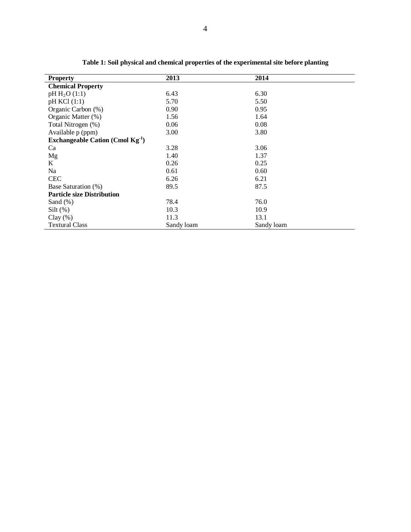| <b>Property</b>                       | 2013       | 2014       |  |
|---------------------------------------|------------|------------|--|
| <b>Chemical Property</b>              |            |            |  |
| $pH H_2O(1:1)$                        | 6.43       | 6.30       |  |
| pH KCl (1:1)                          | 5.70       | 5.50       |  |
| Organic Carbon (%)                    | 0.90       | 0.95       |  |
| Organic Matter (%)                    | 1.56       | 1.64       |  |
| Total Nitrogen (%)                    | 0.06       | 0.08       |  |
| Available p (ppm)                     | 3.00       | 3.80       |  |
| Exchangeable Cation (Cmol $Kg^{-1}$ ) |            |            |  |
| Ca                                    | 3.28       | 3.06       |  |
| Mg                                    | 1.40       | 1.37       |  |
| K                                     | 0.26       | 0.25       |  |
| Na                                    | 0.61       | 0.60       |  |
| <b>CEC</b>                            | 6.26       | 6.21       |  |
| Base Saturation (%)                   | 89.5       | 87.5       |  |
| <b>Particle size Distribution</b>     |            |            |  |
| Sand $(\%)$                           | 78.4       | 76.0       |  |
| $Silt(\%)$                            | 10.3       | 10.9       |  |
| $Clay(\%)$                            | 11.3       | 13.1       |  |
| <b>Textural Class</b>                 | Sandy loam | Sandy loam |  |

**Table 1: Soil physical and chemical properties of the experimental site before planting**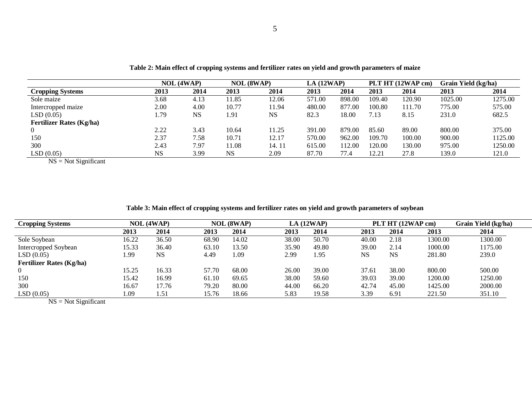|                                 |           | <b>NOL (4WAP)</b> | <b>NOL (8WAP)</b> |       | LA(12WAP) |        |        | PLT HT (12WAP cm) | Grain Yield (kg/ha) |         |
|---------------------------------|-----------|-------------------|-------------------|-------|-----------|--------|--------|-------------------|---------------------|---------|
| <b>Cropping Systems</b>         | 2013      | 2014              | 2013              | 2014  | 2013      | 2014   | 2013   | 2014              | 2013                | 2014    |
| Sole maize                      | 3.68      | 4.13              | 1.85              | 12.06 | 571.00    | 898.00 | 109.40 | 120.90            | 1025.00             | 1275.00 |
| Intercropped maize              | 2.00      | 4.00              | 10.77             | 11.94 | 480.00    | 877.00 | 100.80 | 111.70            | 775.00              | 575.00  |
| LSD(0.05)                       | . . 79    | <b>NS</b>         | l .91             | NS    | 82.3      | 18.00  | 7.13   | 8.15              | 231.0               | 682.5   |
| <b>Fertilizer Rates (Kg/ha)</b> |           |                   |                   |       |           |        |        |                   |                     |         |
| $\overline{0}$                  | 2.22      | 3.43              | 10.64             | 11.25 | 391.00    | 879.00 | 85.60  | 89.00             | 800.00              | 375.00  |
| 150                             | 2.37      | 7.58              | 10.71             | 12.17 | 570.00    | 962.00 | 109.70 | 100.00            | 900.00              | 1125.00 |
| 300                             | 2.43      | 7.97              | 11.08             | 14.11 | 615.00    | 112.00 | 120.00 | 130.00            | 975.00              | 1250.00 |
| LSD(0.05)                       | <b>NS</b> | 3.99              | <b>NS</b>         | 2.09  | 87.70     | 77.4   | 12.21  | 27.8              | 139.0               | 121.0   |

**Table 2: Main effect of cropping systems and fertilizer rates on yield and growth parameters of maize**

 $NS = Not Significant$ 

| Table 3: Main effect of cropping systems and fertilizer rates on yield and growth parameters of soybean |  |  |  |
|---------------------------------------------------------------------------------------------------------|--|--|--|
|                                                                                                         |  |  |  |

| <b>Cropping Systems</b>         |       | <b>NOL</b> (4WAP) |       | <b>NOL (8WAP)</b> |       | LA(12WAP) |       | PLT HT (12WAP cm) |         | Grain Yield (kg/ha) |
|---------------------------------|-------|-------------------|-------|-------------------|-------|-----------|-------|-------------------|---------|---------------------|
|                                 | 2013  | 2014              | 2013  | 2014              | 2013  | 2014      | 2013  | 2014              | 2013    | 2014                |
| Sole Soybean                    | 16.22 | 36.50             | 68.90 | 14.02             | 38.00 | 50.70     | 40.00 | 2.18              | 1300.00 | 1300.00             |
| Intercropped Soybean            | 15.33 | 36.40             | 63.10 | 13.50             | 35.90 | 49.80     | 39.00 | 2.14              | 1000.00 | 1175.00             |
| LSD(0.05)                       | 99،   | <b>NS</b>         | 4.49  | 1.09              | 2.99  | 1.95      | NS    | <b>NS</b>         | 281.80  | 239.0               |
| <b>Fertilizer Rates (Kg/ha)</b> |       |                   |       |                   |       |           |       |                   |         |                     |
|                                 | 15.25 | 16.33             | 57.70 | 68.00             | 26.00 | 39.00     | 37.61 | 38.00             | 800.00  | 500.00              |
| 150                             | 15.42 | 16.99             | 61.10 | 69.65             | 38.00 | 59.60     | 39.03 | 39.00             | 1200.00 | 1250.00             |
| 300                             | 16.67 | 17.76             | 79.20 | 80.00             | 44.00 | 66.20     | 42.74 | 45.00             | 1425.00 | 2000.00             |
| LSD(0.05)                       | 1.09  | 1.51              | 15.76 | 18.66             | 5.83  | 19.58     | 3.39  | 6.91              | 221.50  | 351.10              |

 $NS = Not Significant$